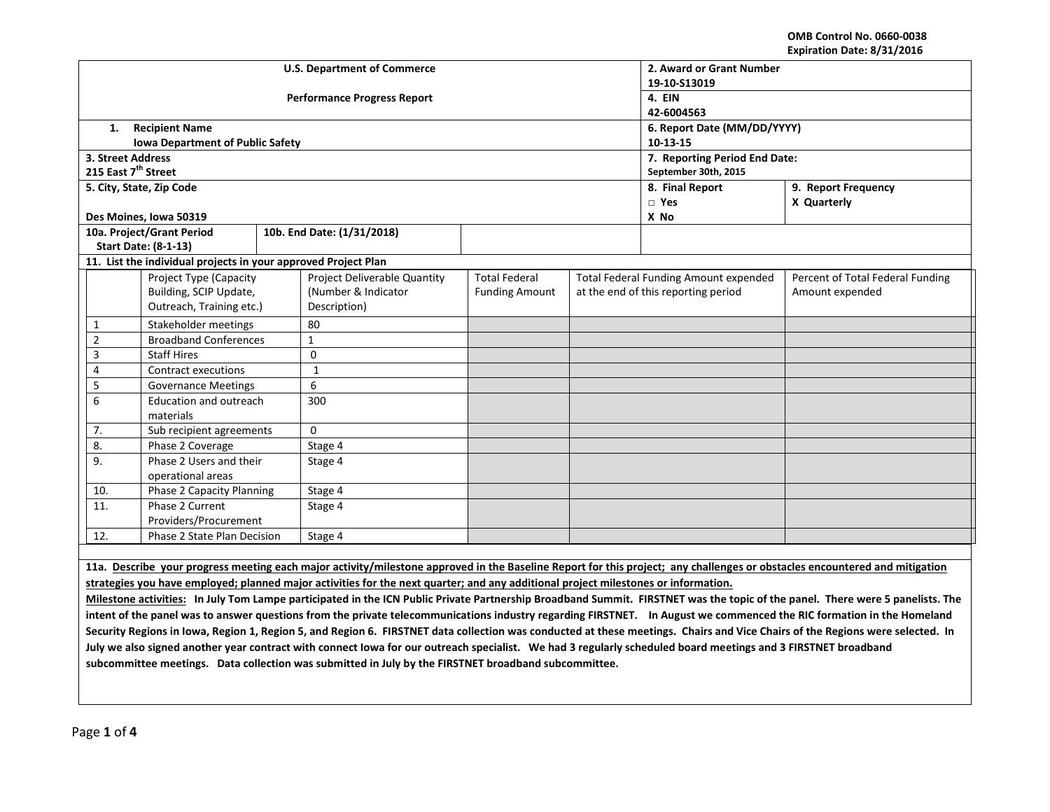**OMB Control No. 0660-0038 Expiration Date: 8/31/2016**

|                                    |                                  |                                                                |              |                                    |                               |                                     |                                        | ________________________________ |  |
|------------------------------------|----------------------------------|----------------------------------------------------------------|--------------|------------------------------------|-------------------------------|-------------------------------------|----------------------------------------|----------------------------------|--|
|                                    |                                  |                                                                |              | <b>U.S. Department of Commerce</b> | 2. Award or Grant Number      |                                     |                                        |                                  |  |
|                                    |                                  |                                                                |              |                                    | 19-10-S13019                  |                                     |                                        |                                  |  |
|                                    |                                  |                                                                |              | <b>Performance Progress Report</b> | 4. EIN                        |                                     |                                        |                                  |  |
|                                    |                                  |                                                                |              |                                    | 42-6004563                    |                                     |                                        |                                  |  |
|                                    | 1.                               | <b>Recipient Name</b>                                          |              |                                    | 6. Report Date (MM/DD/YYYY)   |                                     |                                        |                                  |  |
|                                    |                                  | <b>Iowa Department of Public Safety</b>                        |              |                                    |                               | $10-13-15$                          |                                        |                                  |  |
|                                    | 3. Street Address                |                                                                |              |                                    | 7. Reporting Period End Date: |                                     |                                        |                                  |  |
|                                    | 215 East 7 <sup>th</sup> Street  |                                                                |              |                                    |                               | September 30th, 2015                |                                        |                                  |  |
|                                    |                                  | 5. City, State, Zip Code                                       |              |                                    |                               |                                     | 8. Final Report<br>9. Report Frequency |                                  |  |
|                                    |                                  |                                                                |              |                                    |                               |                                     | $\Box$ Yes                             | X Quarterly                      |  |
|                                    |                                  | Des Moines, Iowa 50319                                         |              |                                    |                               |                                     | X No                                   |                                  |  |
|                                    |                                  | 10a. Project/Grant Period                                      |              | 10b. End Date: (1/31/2018)         |                               |                                     |                                        |                                  |  |
|                                    |                                  | <b>Start Date: (8-1-13)</b>                                    |              |                                    |                               |                                     |                                        |                                  |  |
|                                    |                                  | 11. List the individual projects in your approved Project Plan |              |                                    |                               |                                     |                                        |                                  |  |
|                                    |                                  | Project Type (Capacity                                         |              | Project Deliverable Quantity       | <b>Total Federal</b>          |                                     | Total Federal Funding Amount expended  | Percent of Total Federal Funding |  |
|                                    | Building, SCIP Update,           |                                                                |              | (Number & Indicator                | <b>Funding Amount</b>         | at the end of this reporting period |                                        | Amount expended                  |  |
|                                    | Outreach, Training etc.)         |                                                                | Description) |                                    |                               |                                     |                                        |                                  |  |
|                                    | 1                                | Stakeholder meetings                                           |              | 80                                 |                               |                                     |                                        |                                  |  |
|                                    | $\overline{2}$                   | <b>Broadband Conferences</b>                                   |              | $\mathbf{1}$                       |                               |                                     |                                        |                                  |  |
|                                    | 3                                | <b>Staff Hires</b>                                             |              | $\Omega$                           |                               |                                     |                                        |                                  |  |
|                                    | <b>Contract executions</b><br>4  |                                                                | $\mathbf{1}$ |                                    |                               |                                     |                                        |                                  |  |
|                                    | 5                                | <b>Governance Meetings</b>                                     |              | 6                                  |                               |                                     |                                        |                                  |  |
|                                    | 6                                | Education and outreach                                         |              | 300                                |                               |                                     |                                        |                                  |  |
| materials                          |                                  |                                                                |              |                                    |                               |                                     |                                        |                                  |  |
|                                    | 7.<br>Sub recipient agreements   |                                                                |              | $\Omega$                           |                               |                                     |                                        |                                  |  |
|                                    | 8.<br>Phase 2 Coverage           |                                                                | Stage 4      |                                    |                               |                                     |                                        |                                  |  |
| Phase 2 Users and their<br>9.      |                                  |                                                                |              | Stage 4                            |                               |                                     |                                        |                                  |  |
| operational areas                  |                                  |                                                                |              |                                    |                               |                                     |                                        |                                  |  |
|                                    | 10.<br>Phase 2 Capacity Planning |                                                                | Stage 4      |                                    |                               |                                     |                                        |                                  |  |
| Phase 2 Current<br>11.             |                                  |                                                                |              | Stage 4                            |                               |                                     |                                        |                                  |  |
| Providers/Procurement              |                                  |                                                                |              |                                    |                               |                                     |                                        |                                  |  |
| 12.<br>Phase 2 State Plan Decision |                                  |                                                                |              | Stage 4                            |                               |                                     |                                        |                                  |  |
|                                    |                                  |                                                                |              |                                    |                               |                                     |                                        |                                  |  |
|                                    |                                  |                                                                |              |                                    |                               |                                     |                                        |                                  |  |

**11a. Describe your progress meeting each major activity/milestone approved in the Baseline Report for this project; any challenges or obstacles encountered and mitigation strategies you have employed; planned major activities for the next quarter; and any additional project milestones or information.** 

**Milestone activities: In July Tom Lampe participated in the ICN Public Private Partnership Broadband Summit. FIRSTNET was the topic of the panel. There were 5 panelists. The intent of the panel was to answer questions from the private telecommunications industry regarding FIRSTNET. In August we commenced the RIC formation in the Homeland Security Regions in Iowa, Region 1, Region 5, and Region 6. FIRSTNET data collection was conducted at these meetings. Chairs and Vice Chairs of the Regions were selected. In**  July we also signed another year contract with connect Iowa for our outreach specialist. We had 3 regularly scheduled board meetings and 3 FIRSTNET broadband **subcommittee meetings. Data collection was submitted in July by the FIRSTNET broadband subcommittee.**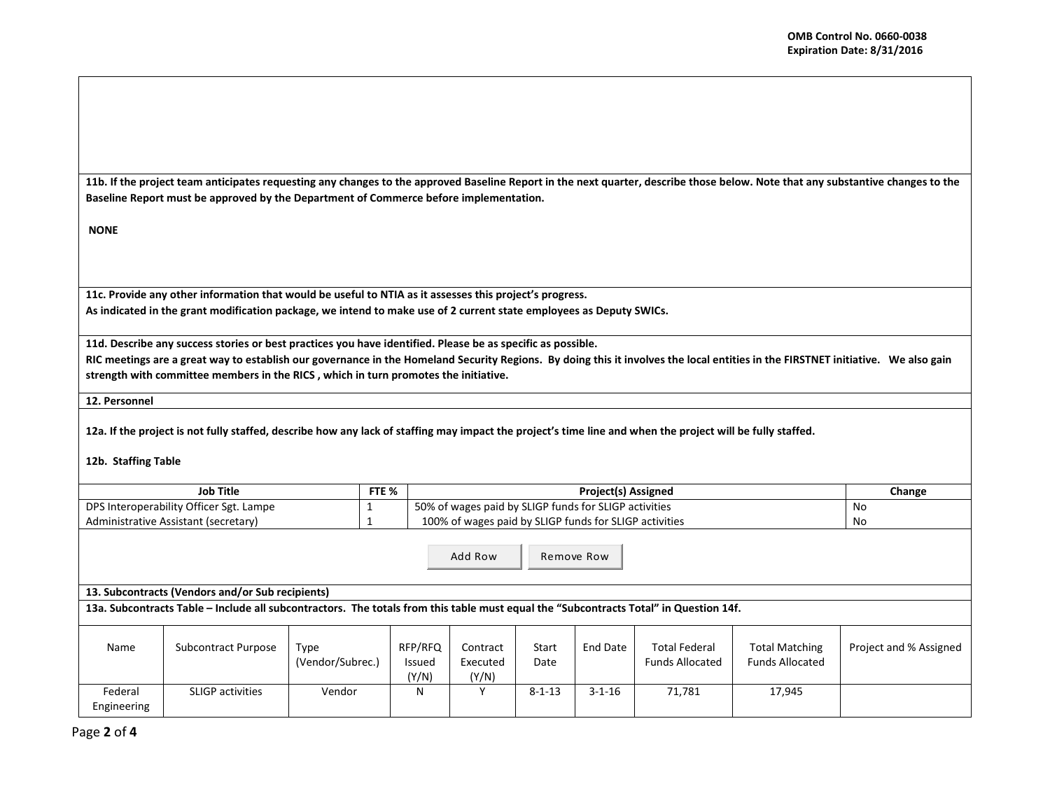**11b. If the project team anticipates requesting any changes to the approved Baseline Report in the next quarter, describe those below. Note that any substantive changes to the Baseline Report must be approved by the Department of Commerce before implementation.** 

**NONE**

**11c. Provide any other information that would be useful to NTIA as it assesses this project's progress. As indicated in the grant modification package, we intend to make use of 2 current state employees as Deputy SWICs.** 

**11d. Describe any success stories or best practices you have identified. Please be as specific as possible.**

**RIC meetings are a great way to establish our governance in the Homeland Security Regions. By doing this it involves the local entities in the FIRSTNET initiative. We also gain strength with committee members in the RICS , which in turn promotes the initiative.** 

**12. Personnel** 

**12a. If the project is not fully staffed, describe how any lack of staffing may impact the project's time line and when the project will be fully staffed.**

**12b. Staffing Table**

| <b>Job Title</b>                        | FTE % | <b>Project(s) Assigned</b>                             | Change |
|-----------------------------------------|-------|--------------------------------------------------------|--------|
| DPS Interoperability Officer Sgt. Lampe |       | 50% of wages paid by SLIGP funds for SLIGP activities  | No     |
| Administrative Assistant (secretary)    |       | 100% of wages paid by SLIGP funds for SLIGP activities | No     |

Add Row Remove Row

**13. Subcontracts (Vendors and/or Sub recipients)**

**13a. Subcontracts Table – Include all subcontractors. The totals from this table must equal the "Subcontracts Total" in Question 14f.**

| Name                   | Subcontract Purpose     | Гуре<br>(Vendor/Subrec.) | RFP/RFQ<br>Issued<br>(Y/N) | Contract<br>Executed<br>(Y/N) | Start<br>Date | End Date     | <b>Total Federal</b><br><b>Funds Allocated</b> | <b>Total Matching</b><br><b>Funds Allocated</b> | Project and % Assigned |
|------------------------|-------------------------|--------------------------|----------------------------|-------------------------------|---------------|--------------|------------------------------------------------|-------------------------------------------------|------------------------|
| Federal<br>Engineering | <b>SLIGP</b> activities | Vendor                   | N                          |                               | $8 - 1 - 13$  | $3 - 1 - 16$ | 71.781                                         | 17,945                                          |                        |

Page **2** of **4**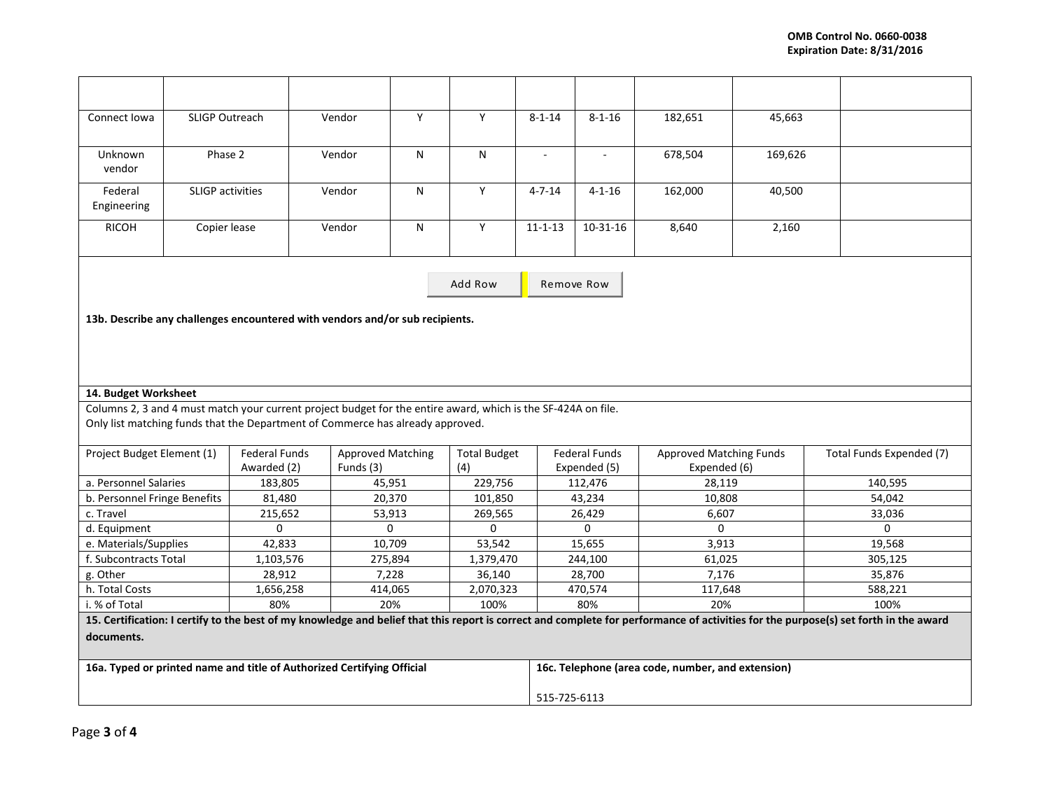| Connect Iowa                                                                                                                                                                                | <b>SLIGP Outreach</b> |             | Vendor    | Y        | Y         | $8 - 1 - 14$                | $8 - 1 - 16$                                      | 182,651      | 45,663  |          |  |  |
|---------------------------------------------------------------------------------------------------------------------------------------------------------------------------------------------|-----------------------|-------------|-----------|----------|-----------|-----------------------------|---------------------------------------------------|--------------|---------|----------|--|--|
|                                                                                                                                                                                             |                       |             |           |          |           |                             |                                                   |              |         |          |  |  |
| Unknown                                                                                                                                                                                     | Phase 2               |             | Vendor    | N        | N         | $\mathcal{L}_{\mathcal{A}}$ | $\mathcal{L}_{\mathcal{A}}$                       | 678,504      | 169,626 |          |  |  |
| vendor                                                                                                                                                                                      |                       |             |           |          |           |                             |                                                   |              |         |          |  |  |
| Federal                                                                                                                                                                                     | SLIGP activities      |             | Vendor    | N        | Y         | $4 - 7 - 14$                | $4 - 1 - 16$                                      | 162,000      | 40,500  |          |  |  |
| Engineering                                                                                                                                                                                 |                       |             |           |          |           |                             |                                                   |              |         |          |  |  |
| <b>RICOH</b>                                                                                                                                                                                | Copier lease          |             | Vendor    | N        | Υ         | $11 - 1 - 13$               | $10-31-16$                                        | 8,640        | 2,160   |          |  |  |
|                                                                                                                                                                                             |                       |             |           |          |           |                             |                                                   |              |         |          |  |  |
|                                                                                                                                                                                             |                       |             |           |          |           | Remove Row                  |                                                   |              |         |          |  |  |
|                                                                                                                                                                                             |                       |             |           |          | Add Row   |                             |                                                   |              |         |          |  |  |
| 13b. Describe any challenges encountered with vendors and/or sub recipients.                                                                                                                |                       |             |           |          |           |                             |                                                   |              |         |          |  |  |
|                                                                                                                                                                                             |                       |             |           |          |           |                             |                                                   |              |         |          |  |  |
|                                                                                                                                                                                             |                       |             |           |          |           |                             |                                                   |              |         |          |  |  |
|                                                                                                                                                                                             |                       |             |           |          |           |                             |                                                   |              |         |          |  |  |
| 14. Budget Worksheet                                                                                                                                                                        |                       |             |           |          |           |                             |                                                   |              |         |          |  |  |
| Columns 2, 3 and 4 must match your current project budget for the entire award, which is the SF-424A on file.                                                                               |                       |             |           |          |           |                             |                                                   |              |         |          |  |  |
| Only list matching funds that the Department of Commerce has already approved.                                                                                                              |                       |             |           |          |           |                             |                                                   |              |         |          |  |  |
| <b>Federal Funds</b><br><b>Approved Matching Funds</b><br>Project Budget Element (1)<br><b>Federal Funds</b><br><b>Approved Matching</b><br><b>Total Budget</b><br>Total Funds Expended (7) |                       |             |           |          |           |                             |                                                   |              |         |          |  |  |
|                                                                                                                                                                                             |                       | Awarded (2) | Funds (3) |          | (4)       |                             | Expended (5)                                      | Expended (6) |         |          |  |  |
| a. Personnel Salaries                                                                                                                                                                       |                       | 183,805     | 45,951    |          | 229,756   |                             | 112,476                                           | 28,119       |         | 140,595  |  |  |
| b. Personnel Fringe Benefits                                                                                                                                                                |                       | 81,480      |           | 20,370   | 101,850   |                             | 43,234                                            | 10,808       |         | 54,042   |  |  |
| c. Travel                                                                                                                                                                                   |                       | 215,652     | 53,913    |          | 269,565   |                             | 26,429                                            | 6,607        |         | 33,036   |  |  |
| d. Equipment                                                                                                                                                                                |                       | $\Omega$    |           | $\Omega$ | $\Omega$  |                             | $\Omega$                                          | $\Omega$     |         | $\Omega$ |  |  |
| e. Materials/Supplies                                                                                                                                                                       |                       | 42,833      | 10,709    |          | 53,542    |                             | 15,655                                            | 3,913        |         | 19,568   |  |  |
| f. Subcontracts Total                                                                                                                                                                       |                       | 1,103,576   | 275,894   |          | 1,379,470 |                             | 244,100                                           | 61,025       |         | 305,125  |  |  |
| g. Other                                                                                                                                                                                    |                       | 28,912      | 7,228     |          | 36,140    |                             | 28,700                                            | 7,176        |         | 35,876   |  |  |
| h. Total Costs                                                                                                                                                                              |                       | 1,656,258   | 414,065   |          | 2,070,323 |                             | 470,574                                           | 117,648      |         | 588,221  |  |  |
| i. % of Total                                                                                                                                                                               |                       | 80%         | 20%       |          | 100%      |                             | 80%                                               | 20%          |         | 100%     |  |  |
| 15. Certification: I certify to the best of my knowledge and belief that this report is correct and complete for performance of activities for the purpose(s) set forth in the award        |                       |             |           |          |           |                             |                                                   |              |         |          |  |  |
| documents.                                                                                                                                                                                  |                       |             |           |          |           |                             |                                                   |              |         |          |  |  |
|                                                                                                                                                                                             |                       |             |           |          |           |                             |                                                   |              |         |          |  |  |
| 16a. Typed or printed name and title of Authorized Certifying Official                                                                                                                      |                       |             |           |          |           |                             | 16c. Telephone (area code, number, and extension) |              |         |          |  |  |
|                                                                                                                                                                                             |                       |             |           |          |           |                             |                                                   |              |         |          |  |  |
|                                                                                                                                                                                             |                       |             |           |          |           |                             | 515-725-6113                                      |              |         |          |  |  |